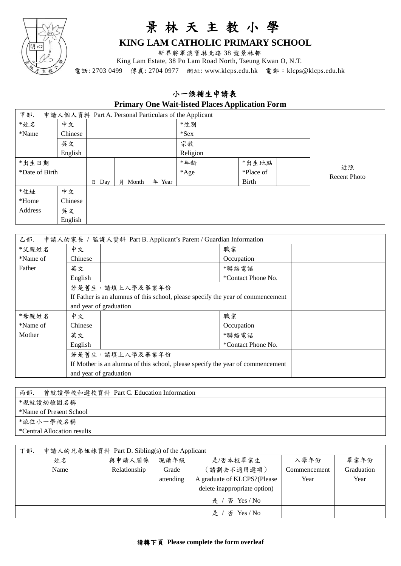

## 景 林 天 主 教 小 學

## **KING LAM CATHOLIC PRIMARY SCHOOL**

新界將軍澳寶琳北路 38 號景林邨

King Lam Estate, 38 Po Lam Road North, Tseung Kwan O, N.T.

電話: 2703 0499 傳真: 2704 0977 網址: www.klcps.edu.hk 電郵: klcps@klcps.edu.hk

## 小一候補生申請表

**Primary One Wait-listed Places Application Form**

| 申請人個人資料 Part A. Personal Particulars of the Applicant<br>甲部. |         |                 |            |           |         |              |                           |  |
|--------------------------------------------------------------|---------|-----------------|------------|-----------|---------|--------------|---------------------------|--|
| $*$ 姓名                                                       | 中文      |                 |            |           | *性別     |              |                           |  |
| *Name                                                        | Chinese |                 |            |           | $*$ Sex |              |                           |  |
|                                                              | 英文      |                 |            |           | 宗教      |              |                           |  |
|                                                              | English |                 |            | Religion  |         |              |                           |  |
| *出生日期                                                        |         |                 |            |           | *年龄     | *出生地點        |                           |  |
| *Date of Birth                                               |         |                 |            |           | *Age    | *Place of    | 近照<br><b>Recent Photo</b> |  |
|                                                              |         | $\boxminus$ Day | Month<br>月 | 年<br>Year |         | <b>Birth</b> |                           |  |
| $*$ 住址                                                       | 中文      |                 |            |           |         |              |                           |  |
| *Home                                                        | Chinese |                 |            |           |         |              |                           |  |
| Address                                                      | 英文      |                 |            |           |         |              |                           |  |
|                                                              | English |                 |            |           |         |              |                           |  |

| 申請人的家長 / 監護人資料 Part B. Applicant's Parent / Guardian Information<br>乙部. |                                                                                |                                                                                 |  |  |  |  |
|-------------------------------------------------------------------------|--------------------------------------------------------------------------------|---------------------------------------------------------------------------------|--|--|--|--|
| *父親姓名                                                                   | 中文                                                                             | 職業                                                                              |  |  |  |  |
| *Name of                                                                | Chinese                                                                        | Occupation                                                                      |  |  |  |  |
| Father                                                                  | 英文                                                                             | *聯絡電話                                                                           |  |  |  |  |
|                                                                         | English                                                                        | *Contact Phone No.                                                              |  |  |  |  |
|                                                                         | 若是舊生,請填上入學及畢業年份                                                                |                                                                                 |  |  |  |  |
|                                                                         |                                                                                | If Father is an alumnus of this school, please specify the year of commencement |  |  |  |  |
|                                                                         | and year of graduation                                                         |                                                                                 |  |  |  |  |
| *母親姓名                                                                   | 中文                                                                             | 職業                                                                              |  |  |  |  |
| *Name of                                                                | Chinese                                                                        | Occupation                                                                      |  |  |  |  |
| Mother                                                                  | 英文                                                                             | *聯絡電話                                                                           |  |  |  |  |
|                                                                         | English                                                                        | *Contact Phone No.                                                              |  |  |  |  |
|                                                                         | 若是舊生,請填上入學及畢業年份                                                                |                                                                                 |  |  |  |  |
|                                                                         | If Mother is an alumna of this school, please specify the year of commencement |                                                                                 |  |  |  |  |
|                                                                         | and year of graduation                                                         |                                                                                 |  |  |  |  |

| 丙部.<br>曾就讀學校和選校資料 Part C. Education Information |  |  |  |  |
|-------------------------------------------------|--|--|--|--|
| *現就讀幼稚園名稱                                       |  |  |  |  |
| *Name of Present School                         |  |  |  |  |
| *派往小一學校名稱                                       |  |  |  |  |
| *Central Allocation results                     |  |  |  |  |

| 申請人的兄弟姐妹資料 Part D. Sibling(s) of the Applicant<br>丁部. |              |           |                              |              |            |  |
|-------------------------------------------------------|--------------|-----------|------------------------------|--------------|------------|--|
| 姓名                                                    | 與申請人關係       | 現讀年級      | 是/否本校畢業生                     | 入學年份         | 畢業年份       |  |
| Name                                                  | Relationship | Grade     | (請劃去不適用選項)                   | Commencement | Graduation |  |
|                                                       |              | attending | A graduate of KLCPS?(Please  | Year         | Year       |  |
|                                                       |              |           | delete inappropriate option) |              |            |  |
|                                                       |              |           | 否 Yes / No<br>是              |              |            |  |
|                                                       |              |           | 否 Yes / No<br>是              |              |            |  |